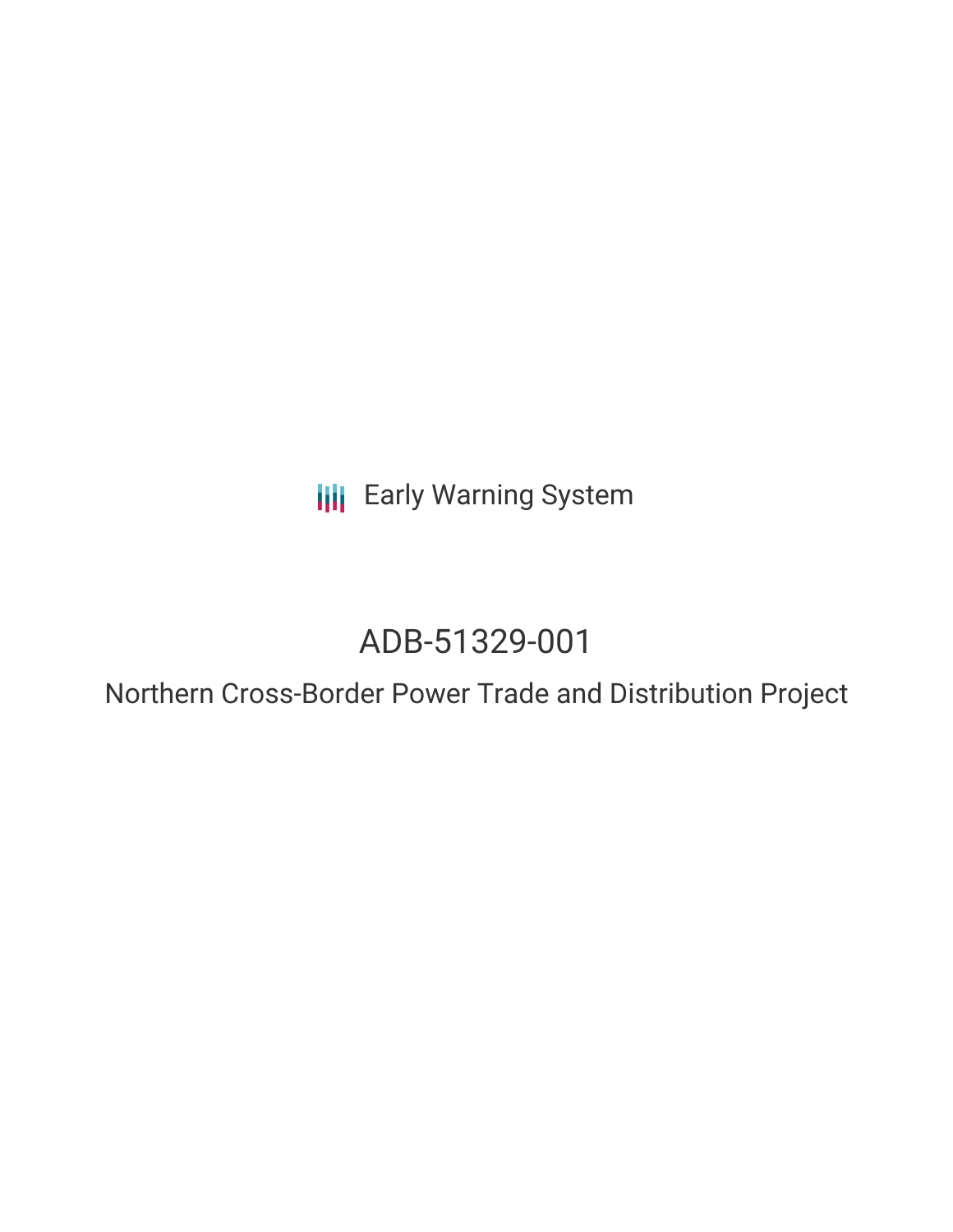**III** Early Warning System

# ADB-51329-001

Northern Cross-Border Power Trade and Distribution Project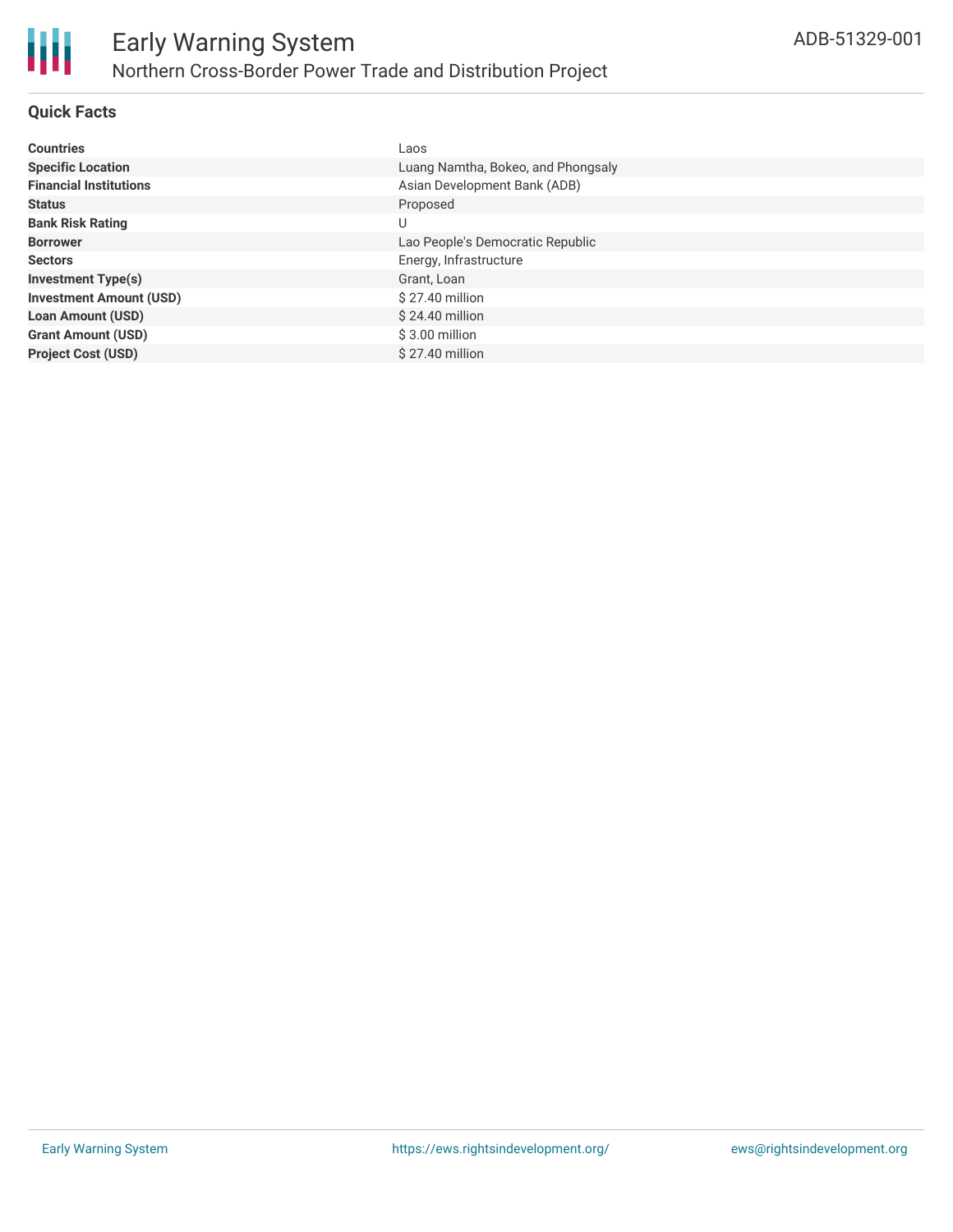

# **Quick Facts**

| <b>Countries</b>               | Laos                               |
|--------------------------------|------------------------------------|
| <b>Specific Location</b>       | Luang Namtha, Bokeo, and Phongsaly |
| <b>Financial Institutions</b>  | Asian Development Bank (ADB)       |
| <b>Status</b>                  | Proposed                           |
| <b>Bank Risk Rating</b>        | U                                  |
| <b>Borrower</b>                | Lao People's Democratic Republic   |
| <b>Sectors</b>                 | Energy, Infrastructure             |
| <b>Investment Type(s)</b>      | Grant, Loan                        |
| <b>Investment Amount (USD)</b> | \$27.40 million                    |
| <b>Loan Amount (USD)</b>       | \$24.40 million                    |
| <b>Grant Amount (USD)</b>      | $$3.00$ million                    |
| <b>Project Cost (USD)</b>      | $$27.40$ million                   |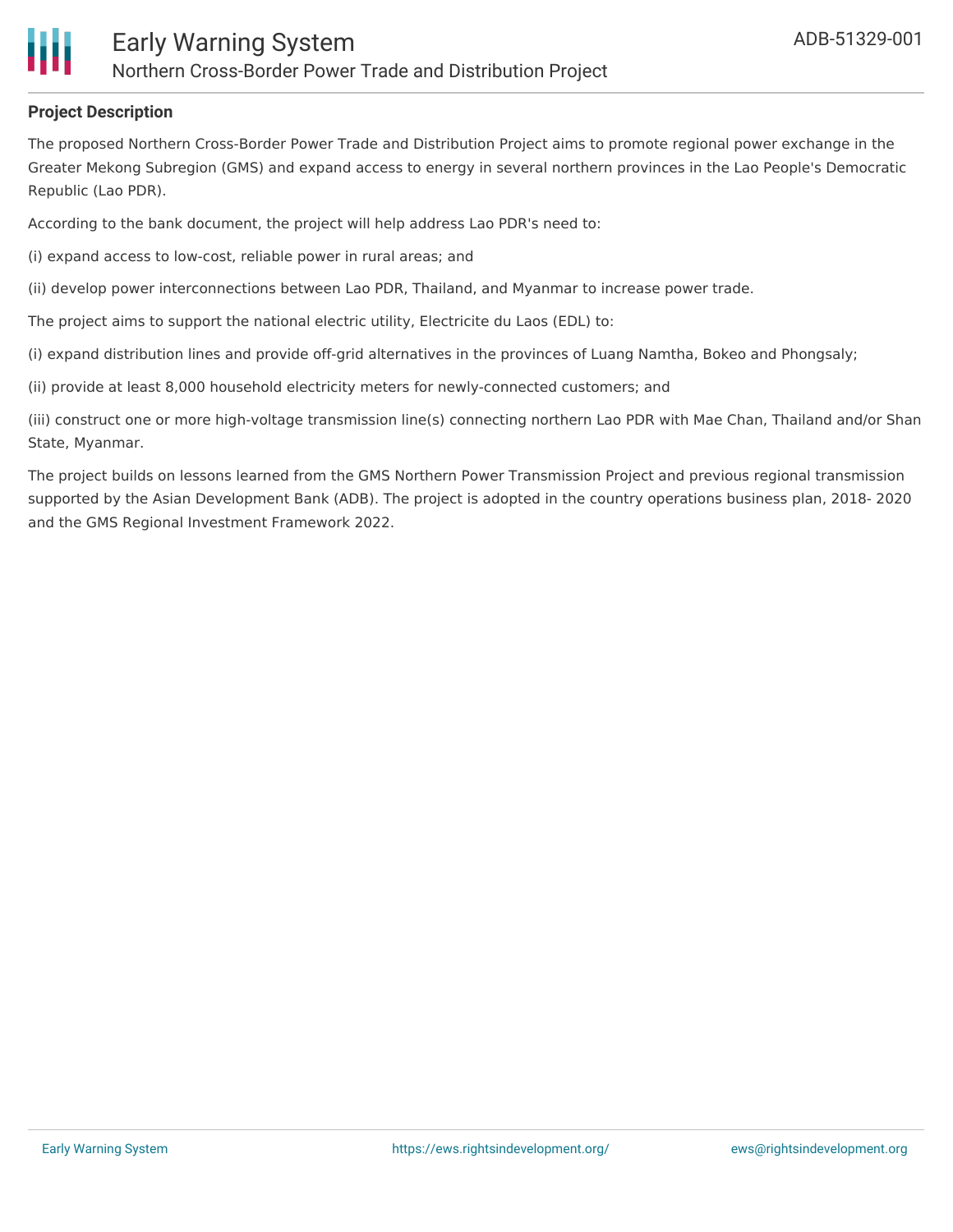

### **Project Description**

The proposed Northern Cross-Border Power Trade and Distribution Project aims to promote regional power exchange in the Greater Mekong Subregion (GMS) and expand access to energy in several northern provinces in the Lao People's Democratic Republic (Lao PDR).

According to the bank document, the project will help address Lao PDR's need to:

(i) expand access to low-cost, reliable power in rural areas; and

(ii) develop power interconnections between Lao PDR, Thailand, and Myanmar to increase power trade.

The project aims to support the national electric utility, Electricite du Laos (EDL) to:

(i) expand distribution lines and provide off-grid alternatives in the provinces of Luang Namtha, Bokeo and Phongsaly;

(ii) provide at least 8,000 household electricity meters for newly-connected customers; and

(iii) construct one or more high-voltage transmission line(s) connecting northern Lao PDR with Mae Chan, Thailand and/or Shan State, Myanmar.

The project builds on lessons learned from the GMS Northern Power Transmission Project and previous regional transmission supported by the Asian Development Bank (ADB). The project is adopted in the country operations business plan, 2018- 2020 and the GMS Regional Investment Framework 2022.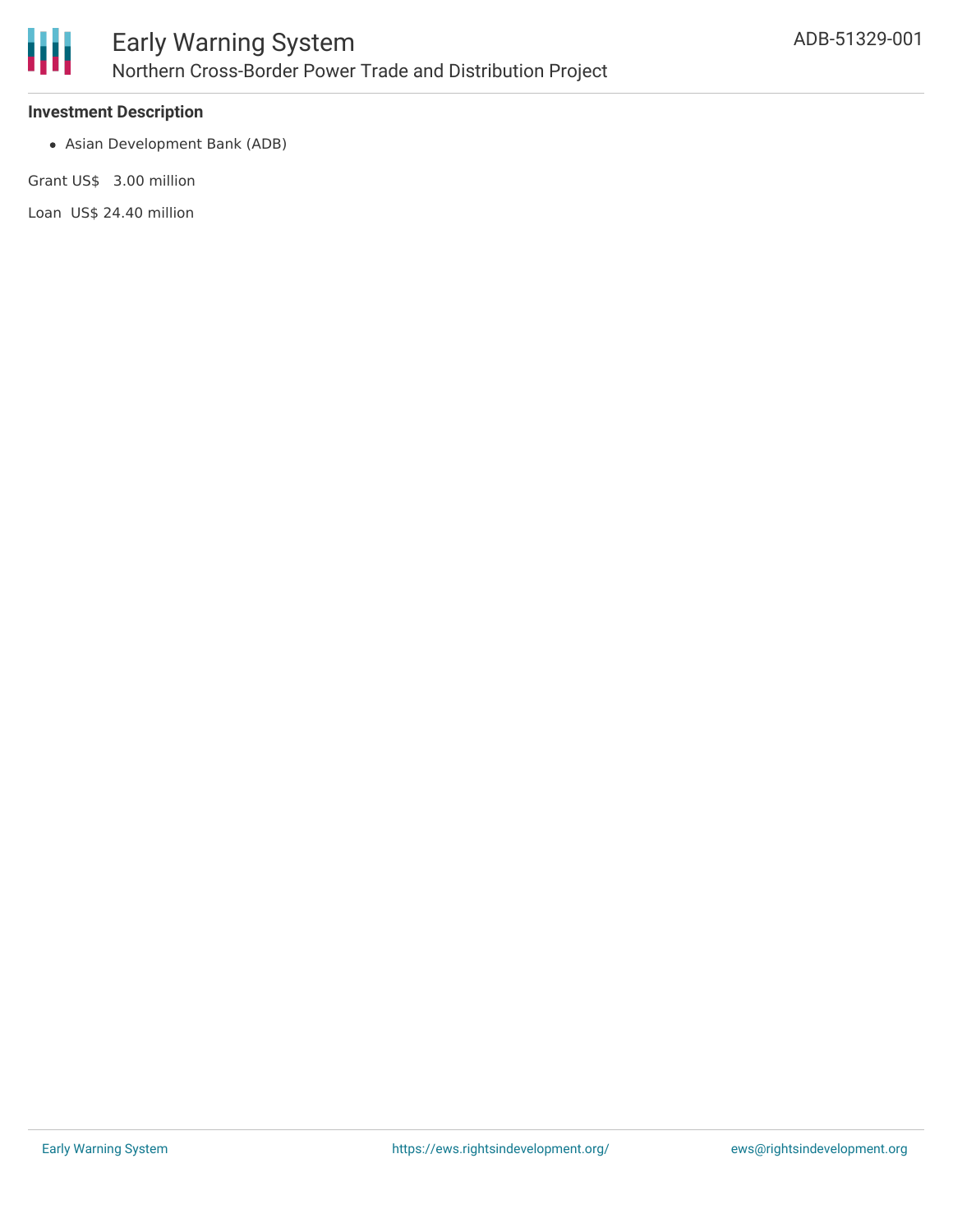

### **Investment Description**

Asian Development Bank (ADB)

Grant US\$ 3.00 million

Loan US\$ 24.40 million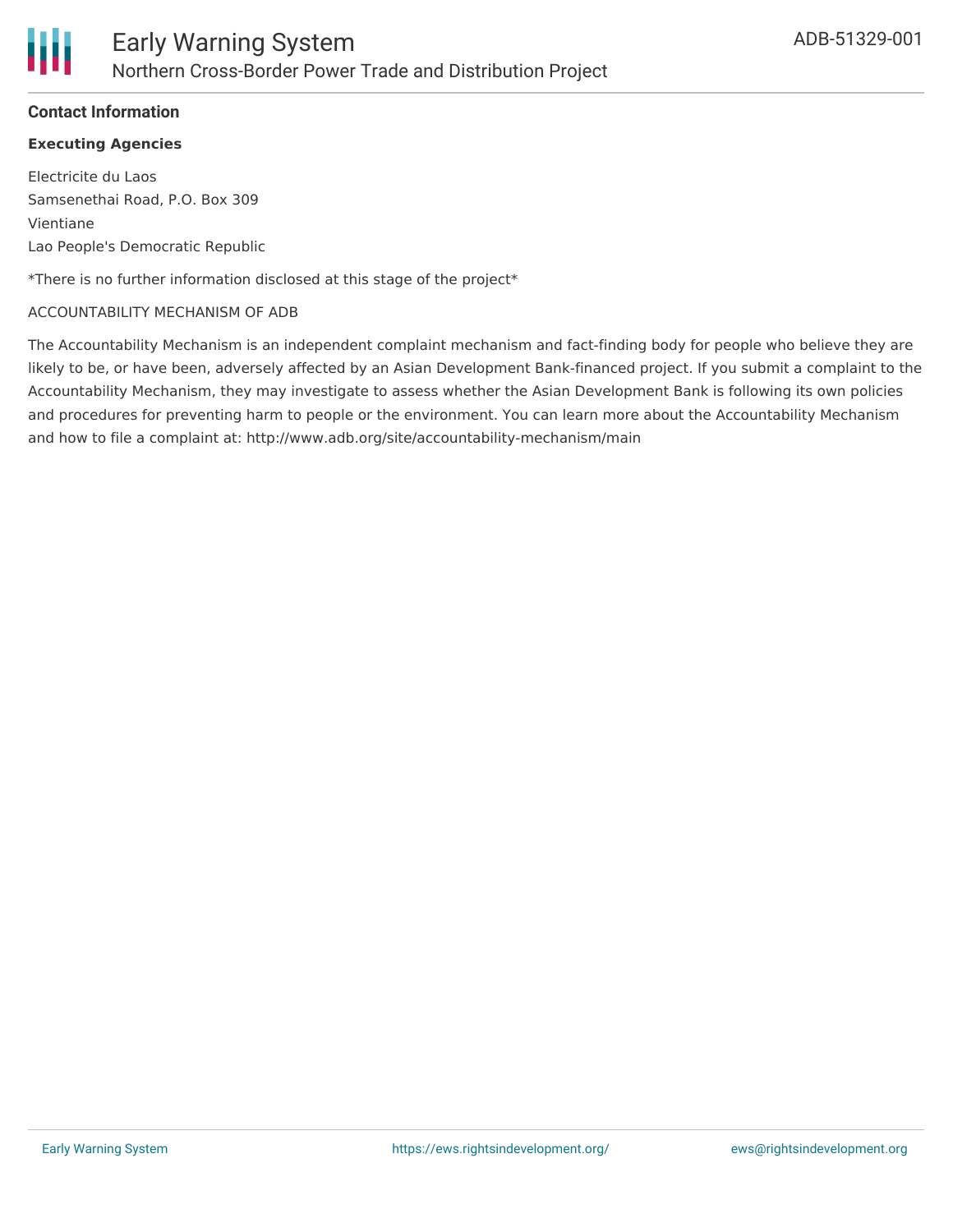# **Contact Information**

## **Executing Agencies**

Electricite du Laos Samsenethai Road, P.O. Box 309 Vientiane Lao People's Democratic Republic

\*There is no further information disclosed at this stage of the project\*

#### ACCOUNTABILITY MECHANISM OF ADB

The Accountability Mechanism is an independent complaint mechanism and fact-finding body for people who believe they are likely to be, or have been, adversely affected by an Asian Development Bank-financed project. If you submit a complaint to the Accountability Mechanism, they may investigate to assess whether the Asian Development Bank is following its own policies and procedures for preventing harm to people or the environment. You can learn more about the Accountability Mechanism and how to file a complaint at: http://www.adb.org/site/accountability-mechanism/main